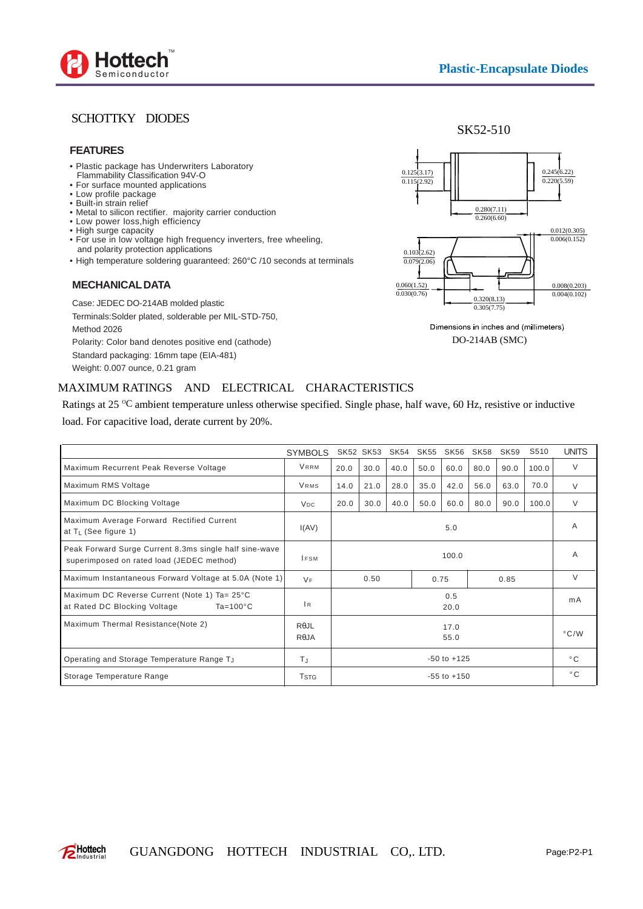

## SCHOTTKY DIODES

#### **FEATURES**

- Plastic package has Underwriters Laboratory Flammability Classification 94V-O
- For surface mounted applications
- Low profile package
- Built-in strain relief
- Metal to silicon rectifier. majority carrier conduction
- Low power loss,high efficiency • High surge capacity
- For use in low voltage high frequency inverters, free wheeling, and polarity protection applications
- High temperature soldering guaranteed: 260°C /10 seconds at terminals

### **MECHANICAL DATA**

Case: JEDEC DO-214AB molded plastic Terminals:Solder plated, solderable per MIL-STD-750, Method 2026 Polarity: Color band denotes positive end (cathode) Standard packaging: 16mm tape (EIA-481) Weight: 0.007 ounce, 0.21 gram





Dimensions in inches and (millimeters) DO-214AB (SMC)

## MAXIMUM RATINGS AND ELECTRICAL CHARACTERISTICS

Ratings at 25  $\degree$ C ambient temperature unless otherwise specified. Single phase, half wave, 60 Hz, resistive or inductive load. For capacitive load, derate current by 20%.

|                                                                                                     | <b>SYMBOLS</b>               |                 | SK52 SK53 | SK54 | SK55 | SK56 | SK <sub>58</sub> | SK <sub>59</sub> | S510  | <b>UNITS</b>  |
|-----------------------------------------------------------------------------------------------------|------------------------------|-----------------|-----------|------|------|------|------------------|------------------|-------|---------------|
| Maximum Recurrent Peak Reverse Voltage                                                              | <b>VRRM</b>                  | 20.0            | 30.0      | 40.0 | 50.0 | 60.0 | 80.0             | 90.0             | 100.0 | V             |
| Maximum RMS Voltage                                                                                 | <b>VRMS</b>                  | 14.0            | 21.0      | 28.0 | 35.0 | 42.0 | 56.0             | 63.0             | 70.0  | $\vee$        |
| Maximum DC Blocking Voltage                                                                         | <b>V<sub>DC</sub></b>        | 20.0            | 30.0      | 40.0 | 50.0 | 60.0 | 80.0             | 90.0             | 100.0 | $\vee$        |
| Maximum Average Forward Rectified Current<br>at $T_L$ (See figure 1)                                | I(AV)                        | 5.0             |           |      |      |      |                  |                  |       | A             |
| Peak Forward Surge Current 8.3ms single half sine-wave<br>superimposed on rated load (JEDEC method) | $I$ FSM                      | 100.0           |           |      |      |      |                  |                  | A     |               |
| Maximum Instantaneous Forward Voltage at 5.0A (Note 1)                                              | <b>VF</b>                    | 0.50            |           |      |      | 0.75 |                  | 0.85             |       | V             |
| Maximum DC Reverse Current (Note 1) Ta= 25°C<br>at Rated DC Blocking Voltage<br>$Ta = 100^{\circ}C$ | 1 <sub>R</sub>               | 0.5<br>20.0     |           |      |      |      |                  |                  | mA    |               |
| Maximum Thermal Resistance(Note 2)                                                                  | $R\theta$ JL<br>$R\theta$ JA | 17.0<br>55.0    |           |      |      |      |                  |                  |       | $\degree$ C/W |
| Operating and Storage Temperature Range TJ                                                          | $T_{\rm J}$                  | $-50$ to $+125$ |           |      |      |      |                  |                  |       | $^{\circ}$ C. |
| Storage Temperature Range                                                                           | T <sub>STG</sub>             | $-55$ to $+150$ |           |      |      |      |                  |                  |       | $^{\circ}$ C. |